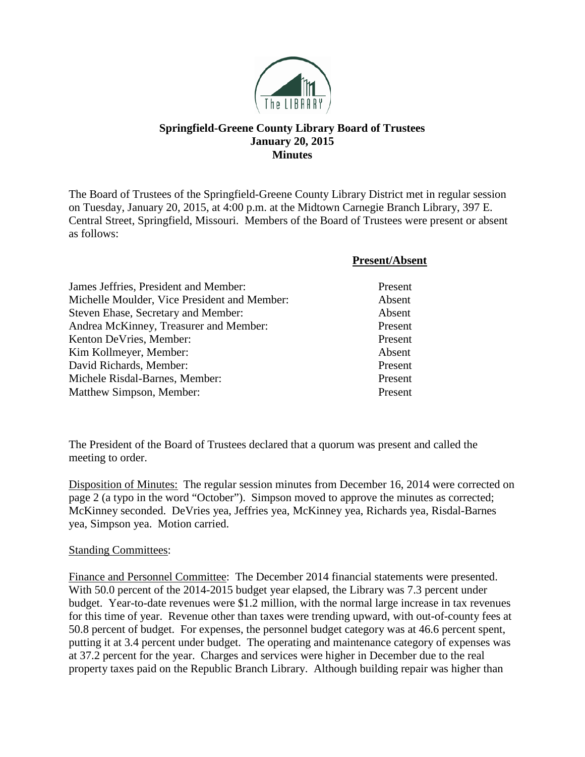

## **Springfield-Greene County Library Board of Trustees January 20, 2015 Minutes**

The Board of Trustees of the Springfield-Greene County Library District met in regular session on Tuesday, January 20, 2015, at 4:00 p.m. at the Midtown Carnegie Branch Library, 397 E. Central Street, Springfield, Missouri. Members of the Board of Trustees were present or absent as follows:

|                                              | <b>Present/Absent</b> |
|----------------------------------------------|-----------------------|
| James Jeffries, President and Member:        | Present               |
| Michelle Moulder, Vice President and Member: | Absent                |
| Steven Ehase, Secretary and Member:          | Absent                |
| Andrea McKinney, Treasurer and Member:       | Present               |
| Kenton DeVries, Member:                      | Present               |
| Kim Kollmeyer, Member:                       | Absent                |
| David Richards, Member:                      | Present               |
| Michele Risdal-Barnes, Member:               | Present               |
| Matthew Simpson, Member:                     | Present               |

The President of the Board of Trustees declared that a quorum was present and called the meeting to order.

Disposition of Minutes: The regular session minutes from December 16, 2014 were corrected on page 2 (a typo in the word "October"). Simpson moved to approve the minutes as corrected; McKinney seconded. DeVries yea, Jeffries yea, McKinney yea, Richards yea, Risdal-Barnes yea, Simpson yea. Motion carried.

## **Standing Committees:**

Finance and Personnel Committee: The December 2014 financial statements were presented. With 50.0 percent of the 2014-2015 budget year elapsed, the Library was 7.3 percent under budget. Year-to-date revenues were \$1.2 million, with the normal large increase in tax revenues for this time of year. Revenue other than taxes were trending upward, with out-of-county fees at 50.8 percent of budget. For expenses, the personnel budget category was at 46.6 percent spent, putting it at 3.4 percent under budget. The operating and maintenance category of expenses was at 37.2 percent for the year. Charges and services were higher in December due to the real property taxes paid on the Republic Branch Library. Although building repair was higher than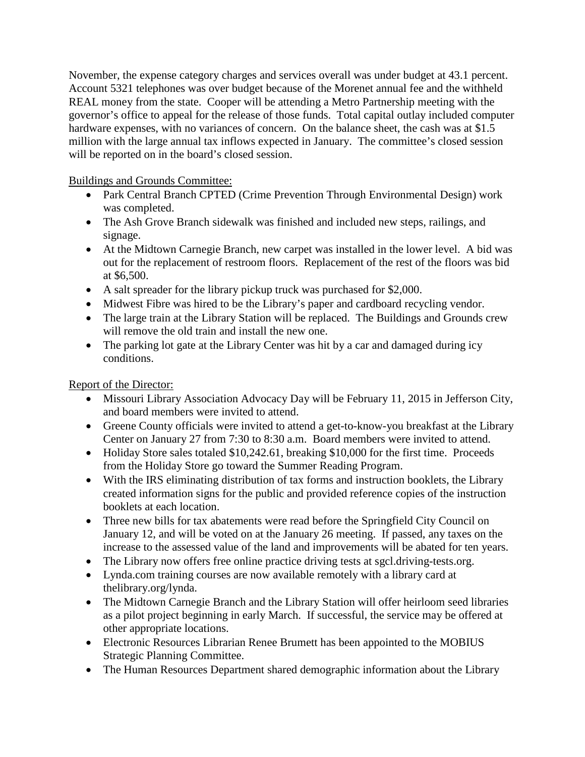November, the expense category charges and services overall was under budget at 43.1 percent. Account 5321 telephones was over budget because of the Morenet annual fee and the withheld REAL money from the state. Cooper will be attending a Metro Partnership meeting with the governor's office to appeal for the release of those funds. Total capital outlay included computer hardware expenses, with no variances of concern. On the balance sheet, the cash was at \$1.5 million with the large annual tax inflows expected in January. The committee's closed session will be reported on in the board's closed session.

Buildings and Grounds Committee:

- Park Central Branch CPTED (Crime Prevention Through Environmental Design) work was completed.
- The Ash Grove Branch sidewalk was finished and included new steps, railings, and signage.
- At the Midtown Carnegie Branch, new carpet was installed in the lower level. A bid was out for the replacement of restroom floors. Replacement of the rest of the floors was bid at \$6,500.
- A salt spreader for the library pickup truck was purchased for \$2,000.
- Midwest Fibre was hired to be the Library's paper and cardboard recycling vendor.
- The large train at the Library Station will be replaced. The Buildings and Grounds crew will remove the old train and install the new one.
- The parking lot gate at the Library Center was hit by a car and damaged during icy conditions.

Report of the Director:

- Missouri Library Association Advocacy Day will be February 11, 2015 in Jefferson City, and board members were invited to attend.
- Greene County officials were invited to attend a get-to-know-you breakfast at the Library Center on January 27 from 7:30 to 8:30 a.m. Board members were invited to attend.
- Holiday Store sales totaled \$10,242.61, breaking \$10,000 for the first time. Proceeds from the Holiday Store go toward the Summer Reading Program.
- With the IRS eliminating distribution of tax forms and instruction booklets, the Library created information signs for the public and provided reference copies of the instruction booklets at each location.
- Three new bills for tax abatements were read before the Springfield City Council on January 12, and will be voted on at the January 26 meeting. If passed, any taxes on the increase to the assessed value of the land and improvements will be abated for ten years.
- The Library now offers free online practice driving tests at sgcl.driving-tests.org.
- Lynda.com training courses are now available remotely with a library card at thelibrary.org/lynda.
- The Midtown Carnegie Branch and the Library Station will offer heirloom seed libraries as a pilot project beginning in early March. If successful, the service may be offered at other appropriate locations.
- Electronic Resources Librarian Renee Brumett has been appointed to the MOBIUS Strategic Planning Committee.
- The Human Resources Department shared demographic information about the Library